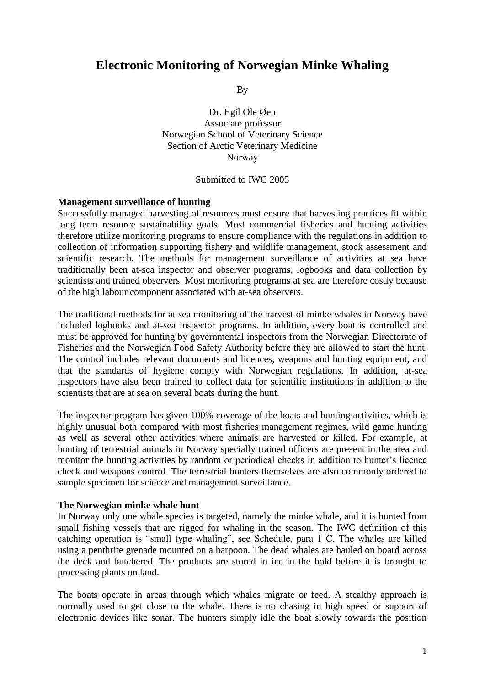# **Electronic Monitoring of Norwegian Minke Whaling**

By

Dr. Egil Ole Øen Associate professor Norwegian School of Veterinary Science Section of Arctic Veterinary Medicine Norway

#### Submitted to IWC 2005

#### **Management surveillance of hunting**

Successfully managed harvesting of resources must ensure that harvesting practices fit within long term resource sustainability goals. Most commercial fisheries and hunting activities therefore utilize monitoring programs to ensure compliance with the regulations in addition to collection of information supporting fishery and wildlife management, stock assessment and scientific research. The methods for management surveillance of activities at sea have traditionally been at-sea inspector and observer programs, logbooks and data collection by scientists and trained observers. Most monitoring programs at sea are therefore costly because of the high labour component associated with at-sea observers.

The traditional methods for at sea monitoring of the harvest of minke whales in Norway have included logbooks and at-sea inspector programs. In addition, every boat is controlled and must be approved for hunting by governmental inspectors from the Norwegian Directorate of Fisheries and the Norwegian Food Safety Authority before they are allowed to start the hunt. The control includes relevant documents and licences, weapons and hunting equipment, and that the standards of hygiene comply with Norwegian regulations. In addition, at-sea inspectors have also been trained to collect data for scientific institutions in addition to the scientists that are at sea on several boats during the hunt.

The inspector program has given 100% coverage of the boats and hunting activities, which is highly unusual both compared with most fisheries management regimes, wild game hunting as well as several other activities where animals are harvested or killed. For example, at hunting of terrestrial animals in Norway specially trained officers are present in the area and monitor the hunting activities by random or periodical checks in addition to hunter's licence check and weapons control. The terrestrial hunters themselves are also commonly ordered to sample specimen for science and management surveillance.

#### **The Norwegian minke whale hunt**

In Norway only one whale species is targeted, namely the minke whale, and it is hunted from small fishing vessels that are rigged for whaling in the season. The IWC definition of this catching operation is "small type whaling", see Schedule, para 1 C. The whales are killed using a penthrite grenade mounted on a harpoon. The dead whales are hauled on board across the deck and butchered. The products are stored in ice in the hold before it is brought to processing plants on land.

The boats operate in areas through which whales migrate or feed. A stealthy approach is normally used to get close to the whale. There is no chasing in high speed or support of electronic devices like sonar. The hunters simply idle the boat slowly towards the position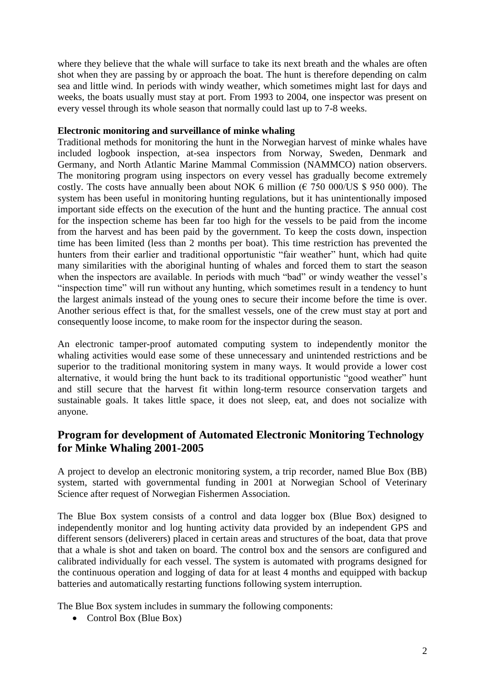where they believe that the whale will surface to take its next breath and the whales are often shot when they are passing by or approach the boat. The hunt is therefore depending on calm sea and little wind. In periods with windy weather, which sometimes might last for days and weeks, the boats usually must stay at port. From 1993 to 2004, one inspector was present on every vessel through its whole season that normally could last up to 7-8 weeks.

## **Electronic monitoring and surveillance of minke whaling**

Traditional methods for monitoring the hunt in the Norwegian harvest of minke whales have included logbook inspection, at-sea inspectors from Norway, Sweden, Denmark and Germany, and North Atlantic Marine Mammal Commission (NAMMCO) nation observers. The monitoring program using inspectors on every vessel has gradually become extremely costly. The costs have annually been about NOK 6 million ( $\epsilon$  750 000/US \$ 950 000). The system has been useful in monitoring hunting regulations, but it has unintentionally imposed important side effects on the execution of the hunt and the hunting practice. The annual cost for the inspection scheme has been far too high for the vessels to be paid from the income from the harvest and has been paid by the government. To keep the costs down, inspection time has been limited (less than 2 months per boat). This time restriction has prevented the hunters from their earlier and traditional opportunistic "fair weather" hunt, which had quite many similarities with the aboriginal hunting of whales and forced them to start the season when the inspectors are available. In periods with much "bad" or windy weather the vessel's "inspection time" will run without any hunting, which sometimes result in a tendency to hunt the largest animals instead of the young ones to secure their income before the time is over. Another serious effect is that, for the smallest vessels, one of the crew must stay at port and consequently loose income, to make room for the inspector during the season.

An electronic tamper-proof automated computing system to independently monitor the whaling activities would ease some of these unnecessary and unintended restrictions and be superior to the traditional monitoring system in many ways. It would provide a lower cost alternative, it would bring the hunt back to its traditional opportunistic "good weather" hunt and still secure that the harvest fit within long-term resource conservation targets and sustainable goals. It takes little space, it does not sleep, eat, and does not socialize with anyone.

## **Program for development of Automated Electronic Monitoring Technology for Minke Whaling 2001-2005**

A project to develop an electronic monitoring system, a trip recorder, named Blue Box (BB) system, started with governmental funding in 2001 at Norwegian School of Veterinary Science after request of Norwegian Fishermen Association.

The Blue Box system consists of a control and data logger box (Blue Box) designed to independently monitor and log hunting activity data provided by an independent GPS and different sensors (deliverers) placed in certain areas and structures of the boat, data that prove that a whale is shot and taken on board. The control box and the sensors are configured and calibrated individually for each vessel. The system is automated with programs designed for the continuous operation and logging of data for at least 4 months and equipped with backup batteries and automatically restarting functions following system interruption.

The Blue Box system includes in summary the following components:

• Control Box (Blue Box)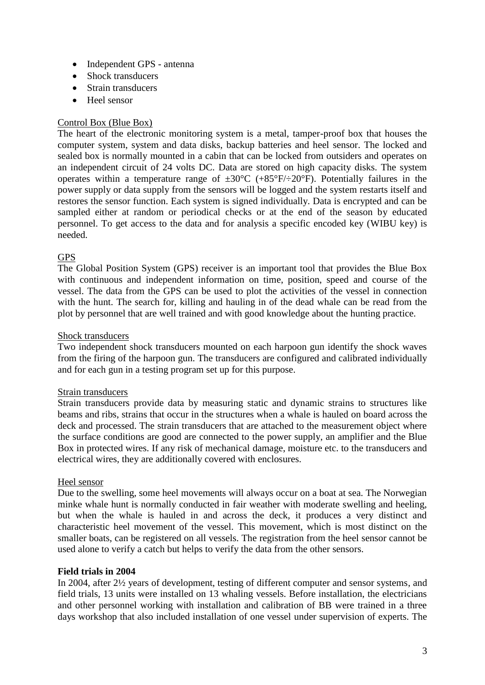- Independent GPS antenna
- Shock transducers
- Strain transducers
- Heel sensor

## Control Box (Blue Box)

The heart of the electronic monitoring system is a metal, tamper-proof box that houses the computer system, system and data disks, backup batteries and heel sensor. The locked and sealed box is normally mounted in a cabin that can be locked from outsiders and operates on an independent circuit of 24 volts DC. Data are stored on high capacity disks. The system operates within a temperature range of  $\pm 30^{\circ}$ C (+85°F/ $\div 20^{\circ}$ F). Potentially failures in the power supply or data supply from the sensors will be logged and the system restarts itself and restores the sensor function. Each system is signed individually. Data is encrypted and can be sampled either at random or periodical checks or at the end of the season by educated personnel. To get access to the data and for analysis a specific encoded key (WIBU key) is needed.

## GPS

The Global Position System (GPS) receiver is an important tool that provides the Blue Box with continuous and independent information on time, position, speed and course of the vessel. The data from the GPS can be used to plot the activities of the vessel in connection with the hunt. The search for, killing and hauling in of the dead whale can be read from the plot by personnel that are well trained and with good knowledge about the hunting practice.

### Shock transducers

Two independent shock transducers mounted on each harpoon gun identify the shock waves from the firing of the harpoon gun. The transducers are configured and calibrated individually and for each gun in a testing program set up for this purpose.

### Strain transducers

Strain transducers provide data by measuring static and dynamic strains to structures like beams and ribs, strains that occur in the structures when a whale is hauled on board across the deck and processed. The strain transducers that are attached to the measurement object where the surface conditions are good are connected to the power supply, an amplifier and the Blue Box in protected wires. If any risk of mechanical damage, moisture etc. to the transducers and electrical wires, they are additionally covered with enclosures.

### Heel sensor

Due to the swelling, some heel movements will always occur on a boat at sea. The Norwegian minke whale hunt is normally conducted in fair weather with moderate swelling and heeling, but when the whale is hauled in and across the deck, it produces a very distinct and characteristic heel movement of the vessel. This movement, which is most distinct on the smaller boats, can be registered on all vessels. The registration from the heel sensor cannot be used alone to verify a catch but helps to verify the data from the other sensors.

### **Field trials in 2004**

In 2004, after 2½ years of development, testing of different computer and sensor systems, and field trials, 13 units were installed on 13 whaling vessels. Before installation, the electricians and other personnel working with installation and calibration of BB were trained in a three days workshop that also included installation of one vessel under supervision of experts. The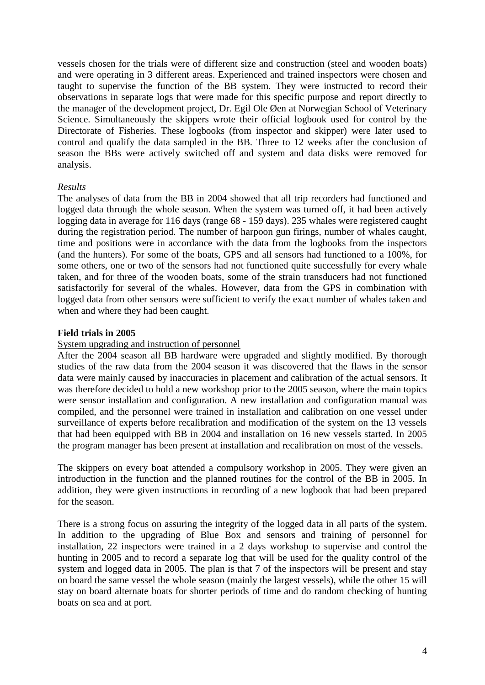vessels chosen for the trials were of different size and construction (steel and wooden boats) and were operating in 3 different areas. Experienced and trained inspectors were chosen and taught to supervise the function of the BB system. They were instructed to record their observations in separate logs that were made for this specific purpose and report directly to the manager of the development project, Dr. Egil Ole Øen at Norwegian School of Veterinary Science. Simultaneously the skippers wrote their official logbook used for control by the Directorate of Fisheries. These logbooks (from inspector and skipper) were later used to control and qualify the data sampled in the BB. Three to 12 weeks after the conclusion of season the BBs were actively switched off and system and data disks were removed for analysis.

### *Results*

The analyses of data from the BB in 2004 showed that all trip recorders had functioned and logged data through the whole season. When the system was turned off, it had been actively logging data in average for 116 days (range 68 - 159 days). 235 whales were registered caught during the registration period. The number of harpoon gun firings, number of whales caught, time and positions were in accordance with the data from the logbooks from the inspectors (and the hunters). For some of the boats, GPS and all sensors had functioned to a 100%, for some others, one or two of the sensors had not functioned quite successfully for every whale taken, and for three of the wooden boats, some of the strain transducers had not functioned satisfactorily for several of the whales. However, data from the GPS in combination with logged data from other sensors were sufficient to verify the exact number of whales taken and when and where they had been caught.

#### **Field trials in 2005**

#### System upgrading and instruction of personnel

After the 2004 season all BB hardware were upgraded and slightly modified. By thorough studies of the raw data from the 2004 season it was discovered that the flaws in the sensor data were mainly caused by inaccuracies in placement and calibration of the actual sensors. It was therefore decided to hold a new workshop prior to the 2005 season, where the main topics were sensor installation and configuration. A new installation and configuration manual was compiled, and the personnel were trained in installation and calibration on one vessel under surveillance of experts before recalibration and modification of the system on the 13 vessels that had been equipped with BB in 2004 and installation on 16 new vessels started. In 2005 the program manager has been present at installation and recalibration on most of the vessels.

The skippers on every boat attended a compulsory workshop in 2005. They were given an introduction in the function and the planned routines for the control of the BB in 2005. In addition, they were given instructions in recording of a new logbook that had been prepared for the season.

There is a strong focus on assuring the integrity of the logged data in all parts of the system. In addition to the upgrading of Blue Box and sensors and training of personnel for installation, 22 inspectors were trained in a 2 days workshop to supervise and control the hunting in 2005 and to record a separate log that will be used for the quality control of the system and logged data in 2005. The plan is that 7 of the inspectors will be present and stay on board the same vessel the whole season (mainly the largest vessels), while the other 15 will stay on board alternate boats for shorter periods of time and do random checking of hunting boats on sea and at port.